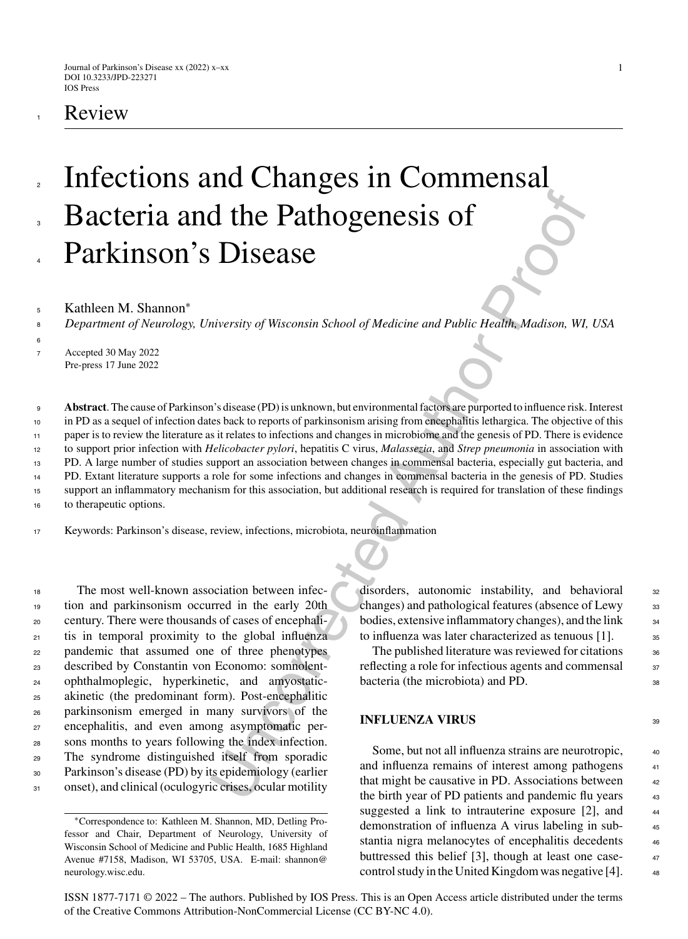# **Review**

# Infections and Changes in Commensal Bacteria and the Pathogenesis of Parkinson's Disease 2 3 4

Kathleen M. Shannon<sup>\*</sup>

*Department of Neurology, University of Wisconsin School of Medicine and Public Health, Madison, WI, USA* 8

<sup>7</sup> Accepted 30 May 2022 Pre-press 17 June 2022

6

**CONTENT CONSECT AUTOMORAL CONSECT AUTOMORAL CONSECT AUTOMORAL CONSECT AUTOMORAL CONSECT AUTOMORAL CONSECT AUTOMORAL CONSECT AUTOMORAL CONSECT AUTOMORAL CONSECT AUTOMORAL CONSECT AUTOMORAL CONSECT AUTOMORAL CONSECT AND CON Abstract**. The cause of Parkinson's disease (PD) is unknown, but environmental factors are purported to influence risk. Interest in PD as a sequel of infection dates back to reports of parkinsonism arising from encephalitis lethargica. The objective of this paper is to review the literature as it relates to infections and changes in microbiome and the genesis of PD. There is evidence to support prior infection with *Helicobacter pylori*, hepatitis C virus, *Malassezia*, and *Strep pneumonia* in association with PD. A large number of studies support an association between changes in commensal bacteria, especially gut bacteria, and PD. Extant literature supports a role for some infections and changes in commensal bacteria in the genesis of PD. Studies support an inflammatory mechanism for this association, but additional research is required for translation of these findings to therapeutic options. 9 10 11 12 13 14 15 16

<sup>17</sup> Keywords: Parkinson's disease, review, infections, microbiota, neuroinflammation

 The most well-known association between infec- tion and parkinsonism occurred in the early 20th century. There were thousands of cases of encephali- tis in temporal proximity to the global influenza pandemic that assumed one of three phenotypes described by Constantin von Economo: somnolent- ophthalmoplegic, hyperkinetic, and amyostatic- akinetic (the predominant form). Post-encephalitic parkinsonism emerged in many survivors of the encephalitis, and even among asymptomatic per- sons months to years following the index infection. The syndrome distinguished itself from sporadic Parkinson's disease (PD) by its epidemiology (earlier onset), and clinical (oculogyric crises, ocular motility

disorders, autonomic instability, and behavioral 32 changes) and pathological features (absence of Lewy  $_{33}$ bodies, extensive inflammatory changes), and the link <sup>34</sup> to influenza was later characterized as tenuous  $[1]$ .  $\qquad$  35

The published literature was reviewed for citations  $_{36}$ reflecting a role for infectious agents and commensal  $37$ bacteria (the microbiota) and PD.

#### **INFLUENZA VIRUS** 39

Some, but not all influenza strains are neurotropic,  $\frac{40}{40}$ and influenza remains of interest among pathogens 41 that might be causative in PD. Associations between  $42$ the birth year of PD patients and pandemic flu years 43 suggested a link to intrauterine exposure  $[2]$ , and  $44$ demonstration of influenza A virus labeling in sub- <sup>45</sup> stantia nigra melanocytes of encephalitis decedents  $46$ [buttressed](mailto:shannon@{penalty -@M }neurology.wisc.edu) this belief [3], though at least one case- <sup>47</sup> control study in the United Kingdom was negative  $[4]$ .  $\qquad$ 

ISSN 1877-7171 © 2022 – The authors. Published by IOS Press. This is an Open Access article distributed under the terms of the [Creative Commons Attribution-NonCommercial License \(CC BY-NC 4.0\).](https://creativecommons.org/licenses/by/4.0/)

<sup>∗</sup>Correspondence to: Kathleen M. Shannon, MD, Detling Professor and Chair, Department of Neurology, University of Wisconsin School of Medicine and Public Health, 1685 Highland Avenue #7158, Madison, WI 53705, USA. E-mail: shannon@ neurology.wisc.edu.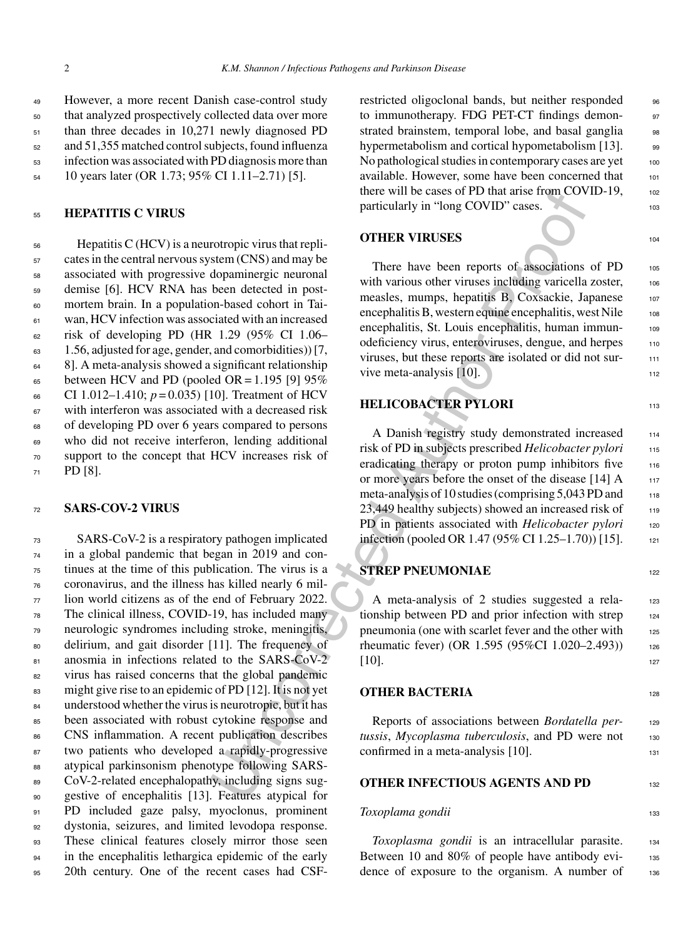However, a more recent Danish case-control study that analyzed prospectively collected data over more than three decades in 10,271 newly diagnosed PD and 51,355 matched control subjects, found influenza infection was associated with PD diagnosis more than

<sup>54</sup> 10 years later (OR 1.73; 95% CI 1.11–2.71) [5].

#### <sup>55</sup> **HEPATITIS C VIRUS**

 Hepatitis C (HCV) is a neurotropic virus that repli- cates in the central nervous system (CNS) and may be associated with progressive dopaminergic neuronal demise [6]. HCV RNA has been detected in post- mortem brain. In a population-based cohort in Tai- wan, HCV infection was associated with an increased  $\epsilon_2$  risk of developing PD (HR 1.29 (95% CI 1.06– 1.56, adjusted for age, gender, and comorbidities)) [7, 8]. A meta-analysis showed a significant relationship  $_{65}$  between HCV and PD (pooled OR = 1.195 [9] 95% 66 CI 1.012–1.410;  $p = 0.035$  [10]. Treatment of HCV with interferon was associated with a decreased risk of developing PD over 6 years compared to persons who did not receive interferon, lending additional support to the concept that HCV increases risk of <sup>71</sup> PD [8].

#### <sup>72</sup> **SARS-COV-2 VIRUS**

the cases of PD that arise to the discussion of the cases of PD that arise from the case of the deceled in post-<br>
dopaminergic neuroal<br>
dopaminergic neuroal<br>
to the amely of THER VIRUSES<br>
been deceled in post-<br>
with variou SARS-CoV-2 is a respiratory pathogen implicated in a global pandemic that began in 2019 and con- tinues at the time of this publication. The virus is a coronavirus, and the illness has killed nearly 6 mil- lion world citizens as of the end of February 2022. The clinical illness, COVID-19, has included many neurologic syndromes including stroke, meningitis, delirium, and gait disorder [11]. The frequency of 81 anosmia in infections related to the SARS-CoV-2 virus has raised concerns that the global pandemic might give rise to an epidemic of PD [12]. It is not yet understood whether the virus is neurotropic, but it has been associated with robust cytokine response and CNS inflammation. A recent publication describes two patients who developed a rapidly-progressive 88 atypical parkinsonism phenotype following SARS-89 CoV-2-related encephalopathy, including signs sug- gestive of encephalitis [13]. Features atypical for PD included gaze palsy, myoclonus, prominent dystonia, seizures, and limited levodopa response. These clinical features closely mirror those seen 94 in the encephalitis lethargica epidemic of the early 20th century. One of the recent cases had CSF-

restricted oligoclonal bands, but neither responded 96 to immunotherapy. FDG PET-CT findings demonstrated brainstem, temporal lobe, and basal ganglia 98 hypermetabolism and cortical hypometabolism [13]. 99 No pathological studies in contemporary cases are yet  $100$ available. However, some have been concerned that 101 there will be cases of PD that arise from COVID-19,  $102$ particularly in "long COVID" cases.

#### **OTHER VIRUSES** 104

There have been reports of associations of PD 105 with various other viruses including varicella zoster, 106 measles, mumps, hepatitis B, Coxsackie, Japanese 107 encephalitis B, western equine encephalitis, west Nile 108 encephalitis, St. Louis encephalitis, human immunodeficiency virus, enteroviruses, dengue, and herpes 110 viruses, but these reports are isolated or did not survive meta-analysis  $[10]$ . 112

### **HELICOBACTER PYLORI** 113

A Danish registry study demonstrated increased 114 risk of PD in subjects prescribed *Helicobacter pylori* <sup>115</sup> eradicating therapy or proton pump inhibitors five 116 or more years before the onset of the disease [14] A 117 meta-analysis of 10 studies (comprising 5,043 PD and 118  $23,449$  healthy subjects) showed an increased risk of  $119$ PD in patients associated with *Helicobacter pylori* 120 infection (pooled OR 1.47 (95% CI 1.25–1.70)) [15]. 121

### **STREP PNEUMONIAE** 122

A meta-analysis of 2 studies suggested a rela-<br>123 tionship between PD and prior infection with strep  $124$ pneumonia (one with scarlet fever and the other with 125 rheumatic fever) (OR 1.595 (95%CI 1.020–2.493)) 126 [10]. 127

#### **OTHER BACTERIA** 128

Reports of associations between *Bordatella per-* <sup>129</sup> *tussis*, *Mycoplasma tuberculosis*, and PD were not <sup>130</sup> confirmed in a meta-analysis [10].

#### **OTHER INFECTIOUS AGENTS AND PD**

#### *Toxoplama gondii* 133

*Toxoplasma gondii* is an intracellular parasite. 134 Between 10 and 80% of people have antibody evi-<br>135 dence of exposure to the organism. A number of 136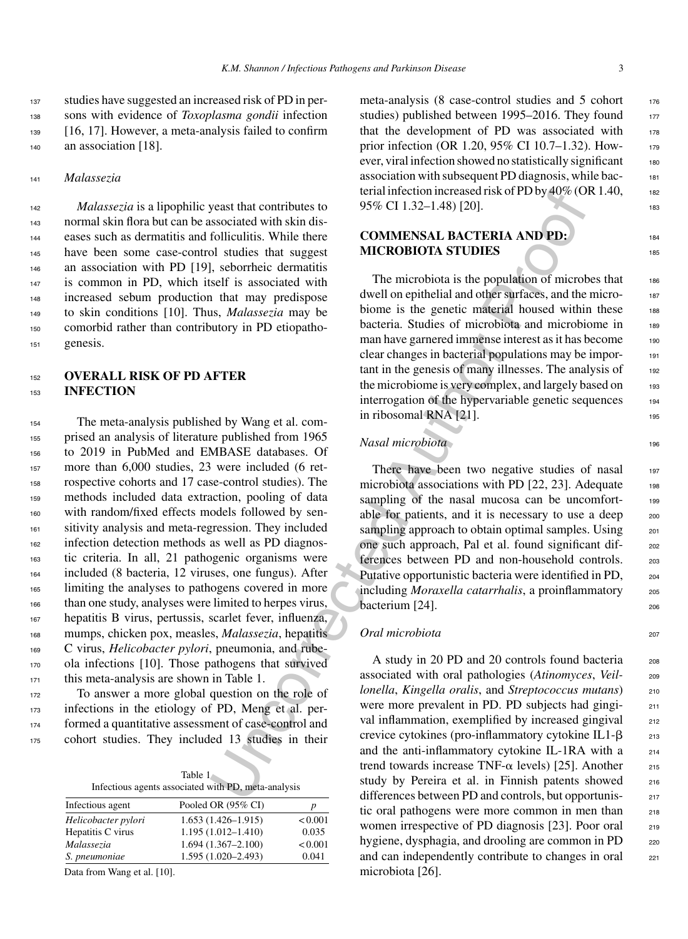*Malassezia* is a lipophilic yeast that contributes to normal skin flora but can be associated with skin dis- eases such as dermatitis and folliculitis. While there have been some case-control studies that suggest an association with PD [19], seborrheic dermatitis is common in PD, which itself is associated with increased sebum production that may predispose to skin conditions [10]. Thus, *Malassezia* may be comorbid rather than contributory in PD etiopatho-<sup>151</sup> genesis.

#### <sup>152</sup> **OVERALL RISK OF PD AFTER** <sup>153</sup> **INFECTION**

 The meta-analysis published by Wang et al. com- prised an analysis of literature published from 1965 to 2019 in PubMed and EMBASE databases. Of more than 6,000 studies, 23 were included (6 ret- rospective cohorts and 17 case-control studies). The methods included data extraction, pooling of data with random/fixed effects models followed by sen- sitivity analysis and meta-regression. They included infection detection methods as well as PD diagnos- tic criteria. In all, 21 pathogenic organisms were included (8 bacteria, 12 viruses, one fungus). After limiting the analyses to pathogens covered in more than one study, analyses were limited to herpes virus, hepatitis B virus, pertussis, scarlet fever, influenza, mumps, chicken pox, measles, *Malassezia*, hepatitis C virus, *Helicobacter pylori*, pneumonia, and rube- ola infections [10]. Those pathogens that survived this meta-analysis are shown in Table 1.

 To answer a more global question on the role of infections in the etiology of PD, Meng et al. per- formed a quantitative assessment of case-control and cohort studies. They included 13 studies in their

| Table $1 -$                                         |  |
|-----------------------------------------------------|--|
| Infectious agents associated with PD, meta-analysis |  |

| Infectious agent    | Pooled OR (95% CI)     | p       |
|---------------------|------------------------|---------|
| Helicobacter pylori | $1.653(1.426 - 1.915)$ | < 0.001 |
| Hepatitis C virus   | $1.195(1.012 - 1.410)$ | 0.035   |
| Malassezia          | $1.694(1.367 - 2.100)$ | < 0.001 |
| S. pneumoniae       | $1.595(1.020 - 2.493)$ | 0.041   |
|                     |                        |         |

Data from Wang et al. [10].

meta-analysis (8 case-control studies and 5 cohort  $176$ studies) published between 1995–2016. They found  $177$ that the development of PD was associated with 178 prior infection (OR 1.20, 95% CI 10.7–1.32). However, viral infection showed no statistically significant 180

# $95\% \text{ CI } 1.32-1.48$  [20].

213

# **COMMENSAL BACTERIA AND PD:** <sup>184</sup> **MICROBIOTA STUDIES**

Solical term interaction of the transformation of the transformation of the transformation of the solicity of the solicity of the solicity of the solicity of the solicity of the solicity is self to solicity is self to the The microbiota is the population of microbes that  $186$ dwell on epithelial and other surfaces, and the microbiome is the genetic material housed within these 188 bacteria. Studies of microbiota and microbiome in 189 man have garnered immense interest as it has become clear changes in bacterial populations may be impor- <sup>191</sup> tant in the genesis of many illnesses. The analysis of 192 the microbiome is very complex, and largely based on 193 interrogation of the hypervariable genetic sequences 194 in ribosomal RNA  $[21]$ .

# *Nasal microbiota* 196

There have been two negative studies of nasal 197 microbiota associations with PD  $[22, 23]$ . Adequate  $198$ sampling of the nasal mucosa can be uncomfortable for patients, and it is necessary to use a deep  $200$ sampling approach to obtain optimal samples. Using  $201$ one such approach, Pal et al. found significant dif- <sup>202</sup> ferences between PD and non-household controls. 203 Putative opportunistic bacteria were identified in PD,  $_{204}$ including *Moraxella catarrhalis*, a proinflammatory 205 bacterium [24].

# *Oral microbiota* <sup>207</sup>

A study in 20 PD and 20 controls found bacteria 208 associated with oral pathologies (*Atinomyces*, *Veil-* <sup>209</sup> *lonella*, *Kingella oralis*, and *Streptococcus mutans*) <sup>210</sup> were more prevalent in PD. PD subjects had gingi-<br>211 val inflammation, exemplified by increased gingival 212 crevice cytokines (pro-inflammatory cytokine IL1- $\beta$ and the anti-inflammatory cytokine IL-1RA with a  $_{214}$ trend towards increase TNF- $\alpha$  levels) [25]. Another  $215$ study by Pereira et al. in Finnish patents showed 216 differences between PD and controls, but opportunistic oral pathogens were more common in men than 218 women irrespective of PD diagnosis [23]. Poor oral 219 hygiene, dysphagia, and drooling are common in PD 220 and can independently contribute to changes in oral 221 microbiota [26].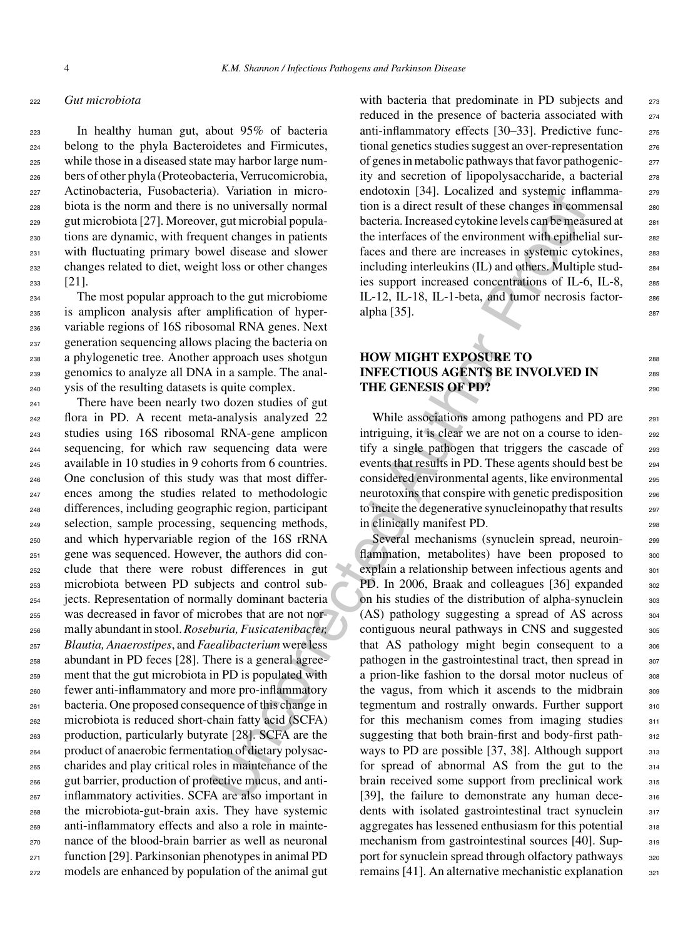#### <sup>222</sup> *Gut microbiota*

 In healthy human gut, about 95% of bacteria belong to the phyla Bacteroidetes and Firmicutes, while those in a diseased state may harbor large num- bers of other phyla (Proteobacteria, Verrucomicrobia, Actinobacteria, Fusobacteria). Variation in micro- biota is the norm and there is no universally normal gut microbiota [27]. Moreover, gut microbial popula- tions are dynamic, with frequent changes in patients with fluctuating primary bowel disease and slower changes related to diet, weight loss or other changes <sup>233</sup> [21].

 The most popular approach to the gut microbiome is amplicon analysis after amplification of hyper- variable regions of 16S ribosomal RNA genes. Next generation sequencing allows placing the bacteria on a phylogenetic tree. Another approach uses shotgun genomics to analyze all DNA in a sample. The anal-ysis of the resulting datasets is quite complex.

 There have been nearly two dozen studies of gut flora in PD. A recent meta-analysis analyzed 22 studies using 16S ribosomal RNA-gene amplicon sequencing, for which raw sequencing data were available in 10 studies in 9 cohorts from 6 countries. One conclusion of this study was that most differ- ences among the studies related to methodologic differences, including geographic region, participant selection, sample processing, sequencing methods, and which hypervariable region of the 16S rRNA gene was sequenced. However, the authors did con- clude that there were robust differences in gut microbiota between PD subjects and control sub- jects. Representation of normally dominant bacteria was decreased in favor of microbes that are not nor- mally abundant in stool.*Roseburia, Fusicatenibacter, Blautia, Anaerostipes*, and *Faealibacterium* were less abundant in PD feces [28]. There is a general agree- ment that the gut microbiota in PD is populated with fewer anti-inflammatory and more pro-inflammatory bacteria. One proposed consequence of this change in microbiota is reduced short-chain fatty acid (SCFA) production, particularly butyrate [28]. SCFA are the product of anaerobic fermentation of dietary polysac- charides and play critical roles in maintenance of the gut barrier, production of protective mucus, and anti- inflammatory activities. SCFA are also important in the microbiota-gut-brain axis. They have systemic anti-inflammatory effects and also a role in mainte- nance of the blood-brain barrier as well as neuronal function [29]. Parkinsonian phenotypes in animal PD models are enhanced by population of the animal gut

with bacteria that predominate in PD subjects and 273 reduced in the presence of bacteria associated with <sup>274</sup> anti-inflammatory effects [30–33]. Predictive func- <sup>275</sup> tional genetics studies suggest an over-representation <sup>276</sup> of genes in metabolic pathways that favor pathogenic- <sup>277</sup> ity and secretion of lipopolysaccharide, a bacterial 278 endotoxin [34]. Localized and systemic inflamma-<br>
<sub>279</sub> tion is a direct result of these changes in commensal <sup>280</sup> bacteria. Increased cytokine levels can be measured at 281 the interfaces of the environment with epithelial sur-<br>282 faces and there are increases in systemic cytokines, 283 including interleukins (IL) and others. Multiple stud- <sup>284</sup> ies support increased concentrations of IL-6, IL-8, <sup>285</sup> IL-12, IL-18, IL-1-beta, and tumor necrosis factor-<br>286  $alpha [35]$ . 287

# **HOW MIGHT EXPOSURE TO** <sup>288</sup> **INFECTIOUS AGENTS BE INVOLVED IN** 289 **THE GENESIS OF PD?** 290

While associations among pathogens and PD are 291 intriguing, it is clear we are not on a course to iden-<br>292 tify a single pathogen that triggers the cascade of 293 events that results in PD. These agents should best be 294 considered environmental agents, like environmental <sup>295</sup> neurotoxins that conspire with genetic predisposition 296 to incite the degenerative synucleinopathy that results 297 in clinically manifest PD. 298

U. Variation in microscopies and systems infl. Localizzed and systems infl.<br>
The minicipality or minicipality in the system of the control time and the control in the system energy in pairing the back of the methanology i Several mechanisms (synuclein spread, neuroin-<br>299 flammation, metabolites) have been proposed to 300 explain a relationship between infectious agents and 301 PD. In 2006, Braak and colleagues [36] expanded 302 on his studies of the distribution of alpha-synuclein 303  $(AS)$  pathology suggesting a spread of AS across  $304$ contiguous neural pathways in CNS and suggested 305 that AS pathology might begin consequent to a 306 pathogen in the gastrointestinal tract, then spread in  $307$ a prion-like fashion to the dorsal motor nucleus of 308 the vagus, from which it ascends to the midbrain 309 tegmentum and rostrally onwards. Further support 310 for this mechanism comes from imaging studies  $311$ suggesting that both brain-first and body-first path-<br>312 ways to PD are possible [37, 38]. Although support  $313$ for spread of abnormal AS from the gut to the 314 brain received some support from preclinical work 315 [39], the failure to demonstrate any human dece-<br>316 dents with isolated gastrointestinal tract synuclein 317 aggregates has lessened enthusiasm for this potential  $\frac{318}{318}$ mechanism from gastrointestinal sources [40]. Sup-<br>319 port for synuclein spread through olfactory pathways 320 remains  $[41]$ . An alternative mechanistic explanation  $321$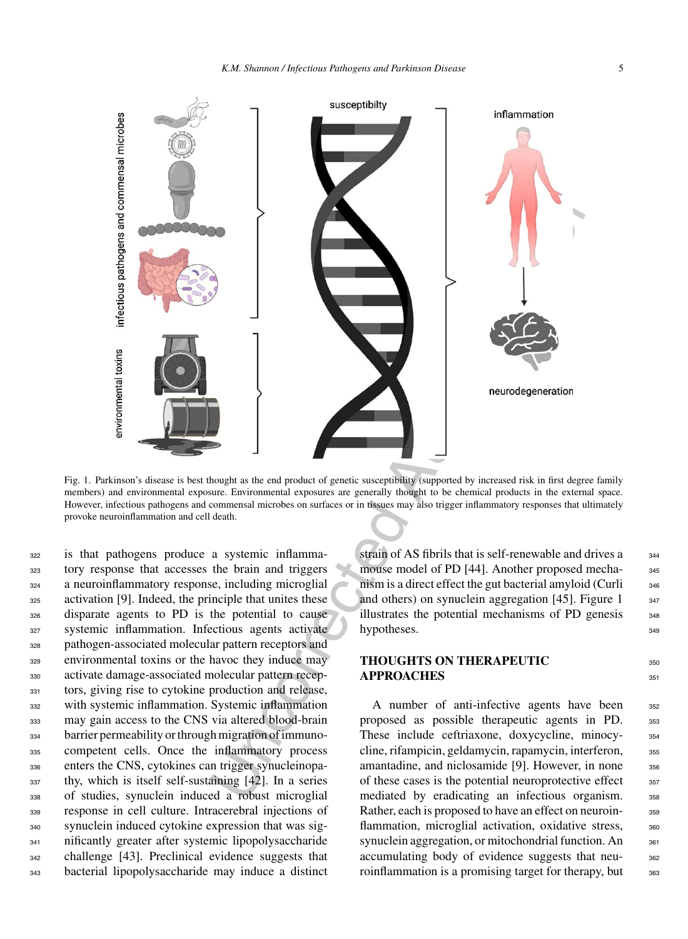

Fig. 1. Parkinson's disease is best thought as the end product of genetic susceptibility (supported by increased risk in first degree family members) and environmental exposure. Environmental exposures are generally thought to be chemical products in the external space. However, infectious pathogens and commensal microbes on surfaces or in tissues may also trigger inflammatory responses that ultimately provoke neuroinflammation and cell death.

 is that pathogens produce a systemic inflamma- tory response that accesses the brain and triggers a neuroinflammatory response, including microglial activation [9]. Indeed, the principle that unites these disparate agents to PD is the potential to cause systemic inflammation. Infectious agents activate pathogen-associated molecular pattern receptors and environmental toxins or the havoc they induce may activate damage-associated molecular pattern recep- tors, giving rise to cytokine production and release, with systemic inflammation. Systemic inflammation may gain access to the CNS via altered blood-brain barrier permeability or through migration of immuno- competent cells. Once the inflammatory process enters the CNS, cytokines can trigger synucleinopa- thy, which is itself self-sustaining [42]. In a series of studies, synuclein induced a robust microglial response in cell culture. Intracerebral injections of synuclein induced cytokine expression that was sig- nificantly greater after systemic lipopolysaccharide challenge [43]. Preclinical evidence suggests that bacterial lipopolysaccharide may induce a distinct

strain of AS fibrils that is self-renewable and drives a  $_{344}$ mouse model of PD [44]. Another proposed mecha-<br>345 nism is a direct effect the gut bacterial amyloid (Curli 346 and others) on synuclein aggregation  $[45]$ . Figure 1  $\frac{347}{2}$ illustrates the potential mechanisms of PD genesis 348 hypotheses. 349

# **THOUGHTS ON THERAPEUTIC** <sup>350</sup> **APPROACHES** 351

A number of anti-infective agents have been 352 proposed as possible therapeutic agents in PD. 353 These include ceftriaxone, doxycycline, minocy-<br>354 cline, rifampicin, geldamycin, rapamycin, interferon,  $355$ amantadine, and niclosamide [9]. However, in none 356 of these cases is the potential neuroprotective effect  $357$ mediated by eradicating an infectious organism. 358 Rather, each is proposed to have an effect on neuroin-<br>359 flammation, microglial activation, oxidative stress,  $360$ synuclein aggregation, or mitochondrial function. An  $_{361}$ accumulating body of evidence suggests that neu-<br>sez roinflammation is a promising target for therapy, but  $\frac{363}{100}$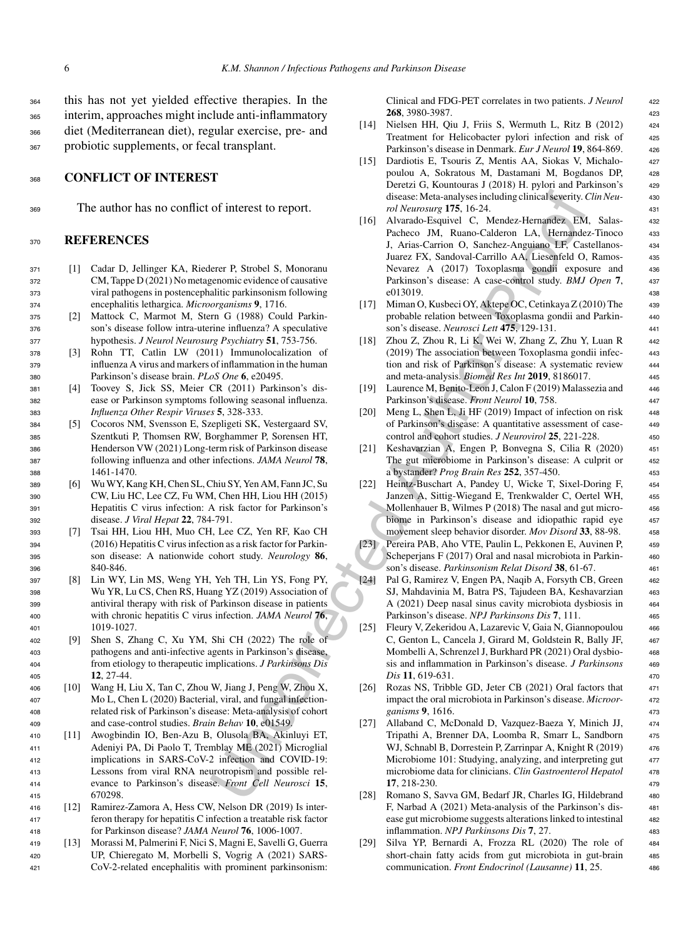this has not yet yielded effective therapies. In the interim, approaches might include anti-inflammatory diet (Mediterranean diet), regular exercise, pre- and probiotic supplements, or fecal transplant.

#### <sup>368</sup> **CONFLICT OF INTEREST**

<sup>369</sup> The author has no conflict of interest to report.

#### <sup>370</sup> **REFERENCES**

- <sup>371</sup> [1] Cadar D, Jellinger KA, Riederer P, Strobel S, Monoranu <sup>372</sup> CM, Tappe D (2021) No metagenomic evidence of causative <sup>373</sup> viral pathogens in postencephalitic parkinsonism following <sup>374</sup> encephalitis lethargica. *Microorganisms* **9**, 1716.
- <sup>375</sup> [2] Mattock C, Marmot M, Stern G (1988) Could Parkin-<sup>376</sup> son's disease follow intra-uterine influenza? A speculative <sup>377</sup> hypothesis. *J Neurol Neurosurg Psychiatry* **51**, 753-756.
- <sup>378</sup> [3] Rohn TT, Catlin LW (2011) Immunolocalization of <sup>379</sup> influenza A virus and markers of inflammation in the human <sup>380</sup> Parkinson's disease brain. *PLoS One* **6**, e20495.
- <sup>381</sup> [4] Toovey S, Jick SS, Meier CR (2011) Parkinson's dis-<sup>382</sup> ease or Parkinson symptoms following seasonal influenza. <sup>383</sup> *Influenza Other Respir Viruses* **5**, 328-333.
- <sup>384</sup> [5] Cocoros NM, Svensson E, Szepligeti SK, Vestergaard SV, <sup>385</sup> Szentkuti P, Thomsen RW, Borghammer P, Sorensen HT, <sup>386</sup> Henderson VW (2021) Long-term risk of Parkinson disease <sup>387</sup> following influenza and other infections. *JAMA Neurol* **78**, <sup>388</sup> 1461-1470.
- <sup>389</sup> [6] Wu WY, Kang KH, Chen SL, Chiu SY, Yen AM, Fann JC, Su <sup>390</sup> CW, Liu HC, Lee CZ, Fu WM, Chen HH, Liou HH (2015) <sup>391</sup> Hepatitis C virus infection: A risk factor for Parkinson's <sup>392</sup> disease. *J Viral Hepat* **22**, 784-791.
- <sup>393</sup> [7] Tsai HH, Liou HH, Muo CH, Lee CZ, Yen RF, Kao CH <sup>394</sup> (2016) Hepatitis C virus infection as a risk factor for Parkin-<sup>395</sup> son disease: A nationwide cohort study. *Neurology* **86**, 396 840-846
- <sup>397</sup> [8] Lin WY, Lin MS, Weng YH, Yeh TH, Lin YS, Fong PY, <sup>398</sup> Wu YR, Lu CS, Chen RS, Huang YZ (2019) Association of <sup>399</sup> antiviral therapy with risk of Parkinson disease in patients <sup>400</sup> with chronic hepatitis C virus infection. *JAMA Neurol* **76**, <sup>401</sup> 1019-1027.
- <sup>402</sup> [9] Shen S, Zhang C, Xu YM, Shi CH (2022) The role of <sup>403</sup> pathogens and anti-infective agents in Parkinson's disease, <sup>404</sup> from etiology to therapeutic implications. *J Parkinsons Dis* <sup>405</sup> **12**, 27-44.
- <sup>406</sup> [10] Wang H, Liu X, Tan C, Zhou W, Jiang J, Peng W, Zhou X, <sup>407</sup> Mo L, Chen L (2020) Bacterial, viral, and fungal infection-<sup>408</sup> related risk of Parkinson's disease: Meta-analysis of cohort <sup>409</sup> and case-control studies. *Brain Behav* **10**, e01549.
- <sup>410</sup> [11] Awogbindin IO, Ben-Azu B, Olusola BA, Akinluyi ET, <sup>411</sup> Adeniyi PA, Di Paolo T, Tremblay ME (2021) Microglial <sup>412</sup> implications in SARS-CoV-2 infection and COVID-19: <sup>413</sup> Lessons from viral RNA neurotropism and possible rel-<sup>414</sup> evance to Parkinson's disease. *Front Cell Neurosci* **15**, <sup>415</sup> 670298.
- <sup>416</sup> [12] Ramirez-Zamora A, Hess CW, Nelson DR (2019) Is inter-<sup>417</sup> feron therapy for hepatitis C infection a treatable risk factor <sup>418</sup> for Parkinson disease? *JAMA Neurol* **76**, 1006-1007.
- <sup>419</sup> [13] Morassi M, Palmerini F, Nici S, Magni E, Savelli G, Guerra <sup>420</sup> UP, Chieregato M, Morbelli S, Vogrig A (2021) SARS-<sup>421</sup> CoV-2-related encephalitis with prominent parkinsonism:

Clinical and FDG-PET correlates in two patients. *J Neurol* <sup>422</sup> **268**, 3980-3987. <sup>423</sup>

- [14] Nielsen HH, Qiu J, Friis S, Wermuth L, Ritz B (2012) 424 Treatment for Helicobacter pylori infection and risk of 425 Parkinson's disease in Denmark. *Eur J Neurol* 19, 864-869. 426
- [15] Dardiotis E, Tsouris Z, Mentis AA, Siokas V, Michalo- <sup>427</sup> poulou A, Sokratous M, Dastamani M, Bogdanos DP, <sup>428</sup> Deretzi G, Kountouras J (2018) H. pylori and Parkinson's 429 disease: Meta-analyses including clinical severity.*Clin Neu-* <sup>430</sup> *rol Neurosurg* **175**, 16-24. <sup>431</sup>
- of interest to report.<br>
for state-analyses: Meta-analyses including clinical sectrity (associate Mathematic Figure 115, 16-24, and the mathematic Figure 115, and the Hamiltonian Hamiltonian Hamiltonian Hamiltonian Hamilto [16] Alvarado-Esquivel C, Mendez-Hernandez EM, Salas- <sup>432</sup> Pacheco JM, Ruano-Calderon LA, Hernandez-Tinoco 433 J, Arias-Carrion O, Sanchez-Anguiano LF, Castellanos- <sup>434</sup> Juarez FX, Sandoval-Carrillo AA, Liesenfeld O, Ramos- <sup>435</sup> Nevarez A (2017) Toxoplasma gondii exposure and <sup>436</sup> Parkinson's disease: A case-control study. *BMJ Open* **7**, <sup>437</sup> e013019. 438
	- [17] Miman O, Kusbeci OY, Aktepe OC, Cetinkaya Z (2010) The <sup>439</sup> probable relation between Toxoplasma gondii and Parkin- <sup>440</sup> son's disease. *Neurosci Lett* **475**, 129-131. <sup>441</sup>
	- [18] Zhou Z, Zhou R, Li K, Wei W, Zhang Z, Zhu Y, Luan R 442 (2019) The association between Toxoplasma gondii infec- <sup>443</sup> tion and risk of Parkinson's disease: A systematic review <sup>444</sup> and meta-analysis. *Biomed Res Int* **2019**, 8186017. <sup>445</sup>
	- [19] Laurence M, Benito-Leon J, Calon F (2019) Malassezia and 446 Parkinson's disease. *Front Neurol* **10**, 758. <sup>447</sup>
	- [20] Meng L, Shen L, Ji HF (2019) Impact of infection on risk 448 of Parkinson's disease: A quantitative assessment of case- <sup>449</sup> control and cohort studies. *J Neurovirol* **25**, 221-228. <sup>450</sup>
	- [21] Keshavarzian A, Engen P, Bonvegna S, Cilia R (2020) <sup>451</sup> The gut microbiome in Parkinson's disease: A culprit or 452 a bystander? *Prog Brain Res* **252**, 357-450. <sup>453</sup>
	- [22] Heintz-Buschart A, Pandey U, Wicke T, Sixel-Doring F, 454 Janzen A, Sittig-Wiegand E, Trenkwalder C, Oertel WH, <sup>455</sup> Mollenhauer B, Wilmes P (2018) The nasal and gut micro-<br>456 biome in Parkinson's disease and idiopathic rapid eye 457 movement sleep behavior disorder. *Mov Disord* **33**, 88-98. <sup>458</sup>
	- [23] Pereira PAB, Aho VTE, Paulin L, Pekkonen E, Auvinen P, 459 Scheperjans F (2017) Oral and nasal microbiota in Parkin- 460 son's disease. *Parkinsonism Relat Disord* **38**, 61-67. <sup>461</sup>
	- [24] Pal G, Ramirez V, Engen PA, Naqib A, Forsyth CB, Green <sup>462</sup> SJ, Mahdavinia M, Batra PS, Tajudeen BA, Keshavarzian 463 A (2021) Deep nasal sinus cavity microbiota dysbiosis in  $464$ Parkinson's disease. *NPJ Parkinsons Dis* **7**, 111. <sup>465</sup>
	- [25] Fleury V, Zekeridou A, Lazarevic V, Gaia N, Giannopoulou 466 C, Genton L, Cancela J, Girard M, Goldstein R, Bally JF, 467 Mombelli A, Schrenzel J, Burkhard PR (2021) Oral dysbio- <sup>468</sup> sis and inflammation in Parkinson's disease. *J Parkinsons* <sup>469</sup> *Dis* **11**, 619-631. <sup>470</sup>
	- [26] Rozas NS, Tribble GD, Jeter CB (2021) Oral factors that 471 impact the oral microbiota in Parkinson's disease. *Microor-* <sup>472</sup> *ganisms* **9**, 1616. <sup>473</sup>
	- [27] Allaband C, McDonald D, Vazquez-Baeza Y, Minich JJ, 474 Tripathi A, Brenner DA, Loomba R, Smarr L, Sandborn 475 WJ, Schnabl B, Dorrestein P, Zarrinpar A, Knight R (2019) 476 Microbiome 101: Studying, analyzing, and interpreting gut 477 microbiome data for clinicians. *Clin Gastroenterol Hepatol* <sup>478</sup> **17**, 218-230. <sup>479</sup>
	- [28] Romano S, Savva GM, Bedarf JR, Charles IG, Hildebrand 480 F, Narbad A (2021) Meta-analysis of the Parkinson's dis- <sup>481</sup> ease gut microbiome suggests alterations linked to intestinal 482 inflammation. *NPJ Parkinsons Dis* **7**, 27. <sup>483</sup>
	- [29] Silva YP, Bernardi A, Frozza RL (2020) The role of <sup>484</sup> short-chain fatty acids from gut microbiota in gut-brain 485 communication. *Front Endocrinol (Lausanne)* **11**, 25. <sup>486</sup>